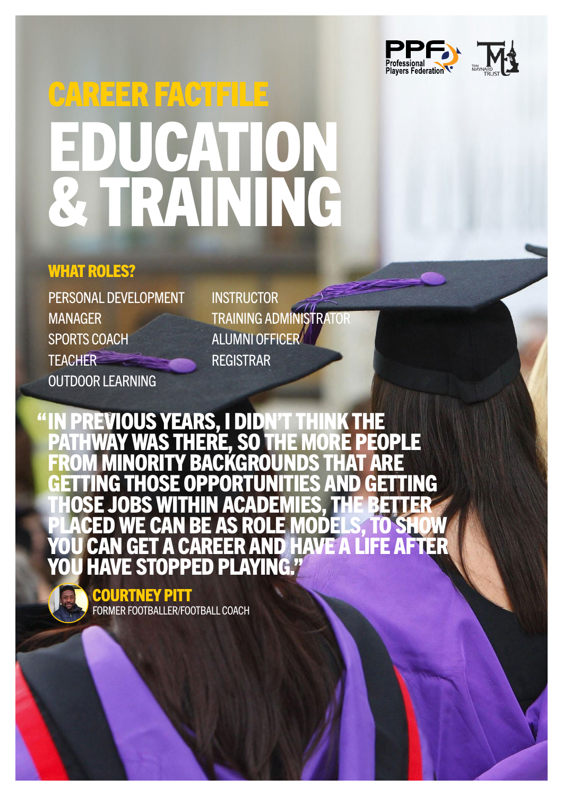

# CAREER FACTFILE EDUCATION & TRAINING

### WHAT ROLES?

PERSONAL DEVELOPMENT MANAGER SPORTS COACH **TEACHER** OUTDOOR LEARNING

**INSTRUCTOR** TRAINING ADMINISTRATOR ALUMNI OFFICER REGISTRAR

**TOUS YEARS, I DIDN'T THINK THE<br>IY WAS THERE, SO THE MORE PEOPLE** PATHWAY WAS THERE, SO THE MORE PEOPLE FROM MINORITY BACKGROUNDS THAT ARE GETTING THOSE OPPORTUNITIES AND GETTING THOSE JOBS WITHIN ACADEMIES, THE BETTER PLACED WE CAN BE AS ROLE MODELS, TO SHOW YOU CAN GET A CAREER AND HAVE A LIFE AFTER F STOPPED PLAYING " "

> COURTNEY PITT FORMER FOOTBALLER/FOOTBALL COACH